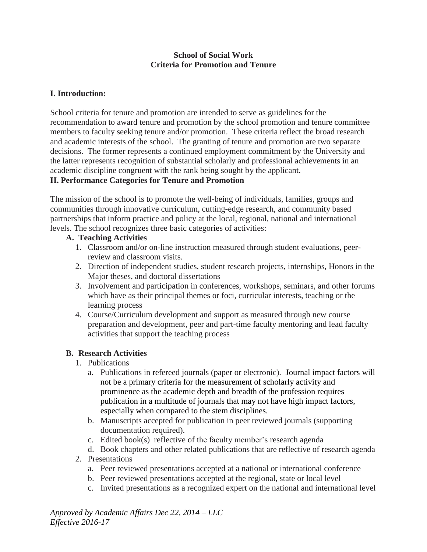### **School of Social Work Criteria for Promotion and Tenure**

## **I. Introduction:**

School criteria for tenure and promotion are intended to serve as guidelines for the recommendation to award tenure and promotion by the school promotion and tenure committee members to faculty seeking tenure and/or promotion. These criteria reflect the broad research and academic interests of the school. The granting of tenure and promotion are two separate decisions. The former represents a continued employment commitment by the University and the latter represents recognition of substantial scholarly and professional achievements in an academic discipline congruent with the rank being sought by the applicant.

### **II. Performance Categories for Tenure and Promotion**

The mission of the school is to promote the well-being of individuals, families, groups and communities through innovative curriculum, cutting-edge research, and community based partnerships that inform practice and policy at the local, regional, national and international levels. The school recognizes three basic categories of activities:

#### **A. Teaching Activities**

- 1. Classroom and/or on-line instruction measured through student evaluations, peerreview and classroom visits.
- 2. Direction of independent studies, student research projects, internships, Honors in the Major theses, and doctoral dissertations
- 3. Involvement and participation in conferences, workshops, seminars, and other forums which have as their principal themes or foci, curricular interests, teaching or the learning process
- 4. Course/Curriculum development and support as measured through new course preparation and development, peer and part-time faculty mentoring and lead faculty activities that support the teaching process

### **B. Research Activities**

- 1. Publications
	- a. Publications in refereed journals (paper or electronic). Journal impact factors will not be a primary criteria for the measurement of scholarly activity and prominence as the academic depth and breadth of the profession requires publication in a multitude of journals that may not have high impact factors, especially when compared to the stem disciplines.
	- b. Manuscripts accepted for publication in peer reviewed journals (supporting documentation required).
	- c. Edited book(s) reflective of the faculty member's research agenda
	- d. Book chapters and other related publications that are reflective of research agenda
- 2. Presentations
	- a. Peer reviewed presentations accepted at a national or international conference
	- b. Peer reviewed presentations accepted at the regional, state or local level
	- c. Invited presentations as a recognized expert on the national and international level

*Approved by Academic Affairs Dec 22, 2014 – LLC Effective 2016-17*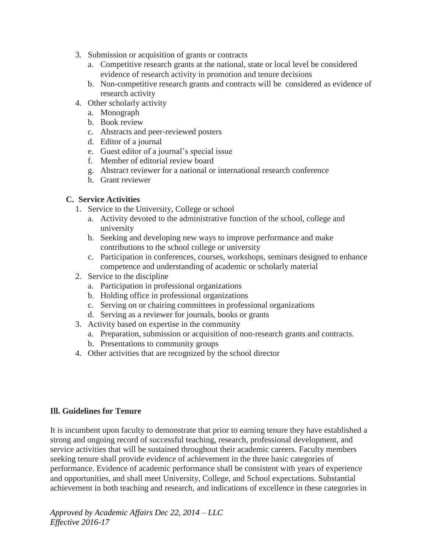- 3. Submission or acquisition of grants or contracts
	- a. Competitive research grants at the national, state or local level be considered evidence of research activity in promotion and tenure decisions
	- b. Non-competitive research grants and contracts will be considered as evidence of research activity
- 4. Other scholarly activity
	- a. Monograph
	- b. Book review
	- c. Abstracts and peer-reviewed posters
	- d. Editor of a journal
	- e. Guest editor of a journal's special issue
	- f. Member of editorial review board
	- g. Abstract reviewer for a national or international research conference
	- h. Grant reviewer

## **C. Service Activities**

- 1. Service to the University, College or school
	- a. Activity devoted to the administrative function of the school, college and university
	- b. Seeking and developing new ways to improve performance and make contributions to the school college or university
	- c. Participation in conferences, courses, workshops, seminars designed to enhance competence and understanding of academic or scholarly material
- 2. Service to the discipline
	- a. Participation in professional organizations
	- b. Holding office in professional organizations
	- c. Serving on or chairing committees in professional organizations
	- d. Serving as a reviewer for journals, books or grants
- 3. Activity based on expertise in the community
	- a. Preparation, submission or acquisition of non-research grants and contracts.
	- b. Presentations to community groups
- 4. Other activities that are recognized by the school director

### **Ill. Guidelines for Tenure**

It is incumbent upon faculty to demonstrate that prior to earning tenure they have established a strong and ongoing record of successful teaching, research, professional development, and service activities that will be sustained throughout their academic careers. Faculty members seeking tenure shall provide evidence of achievement in the three basic categories of performance. Evidence of academic performance shall be consistent with years of experience and opportunities, and shall meet University, College, and School expectations. Substantial achievement in both teaching and research, and indications of excellence in these categories in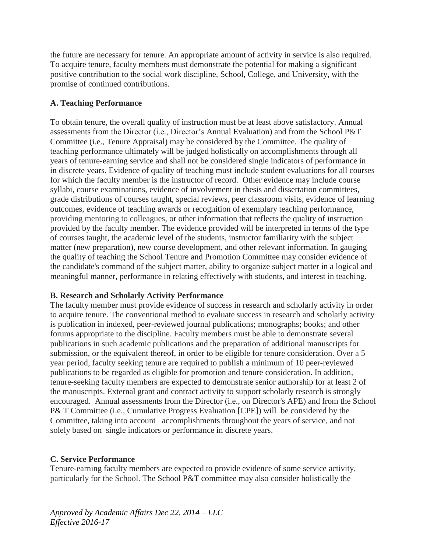the future are necessary for tenure. An appropriate amount of activity in service is also required. To acquire tenure, faculty members must demonstrate the potential for making a significant positive contribution to the social work discipline, School, College, and University, with the promise of continued contributions.

## **A. Teaching Performance**

To obtain tenure, the overall quality of instruction must be at least above satisfactory. Annual assessments from the Director (i.e., Director's Annual Evaluation) and from the School P&T Committee (i.e., Tenure Appraisal) may be considered by the Committee. The quality of teaching performance ultimately will be judged holistically on accomplishments through all years of tenure-earning service and shall not be considered single indicators of performance in in discrete years. Evidence of quality of teaching must include student evaluations for all courses for which the faculty member is the instructor of record. Other evidence may include course syllabi, course examinations, evidence of involvement in thesis and dissertation committees, grade distributions of courses taught, special reviews, peer classroom visits, evidence of learning outcomes, evidence of teaching awards or recognition of exemplary teaching performance, providing mentoring to colleagues, or other information that reflects the quality of instruction provided by the faculty member. The evidence provided will be interpreted in terms of the type of courses taught, the academic level of the students, instructor familiarity with the subject matter (new preparation), new course development, and other relevant information. In gauging the quality of teaching the School Tenure and Promotion Committee may consider evidence of the candidate's command of the subject matter, ability to organize subject matter in a logical and meaningful manner, performance in relating effectively with students, and interest in teaching.

### **B. Research and Scholarly Activity Performance**

The faculty member must provide evidence of success in research and scholarly activity in order to acquire tenure. The conventional method to evaluate success in research and scholarly activity is publication in indexed, peer-reviewed journal publications; monographs; books; and other forums appropriate to the discipline. Faculty members must be able to demonstrate several publications in such academic publications and the preparation of additional manuscripts for submission, or the equivalent thereof, in order to be eligible for tenure consideration. Over a 5 year period, faculty seeking tenure are required to publish a minimum of 10 peer-reviewed publications to be regarded as eligible for promotion and tenure consideration. In addition, tenure-seeking faculty members are expected to demonstrate senior authorship for at least 2 of the manuscripts. External grant and contract activity to support scholarly research is strongly encouraged. Annual assessments from the Director (i.e., on Director's APE) and from the School P& T Committee (i.e., Cumulative Progress Evaluation [CPE]) will be considered by the Committee, taking into account accomplishments throughout the years of service, and not solely based on single indicators or performance in discrete years.

### **C. Service Performance**

Tenure-earning faculty members are expected to provide evidence of some service activity, particularly for the School. The School P&T committee may also consider holistically the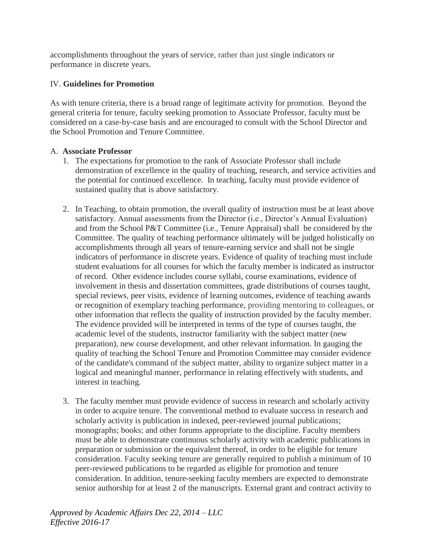accomplishments throughout the years of service, rather than just single indicators or performance in discrete years.

# IV. **Guidelines for Promotion**

As with tenure criteria, there is a broad range of legitimate activity for promotion. Beyond the general criteria for tenure, faculty seeking promotion to Associate Professor, faculty must be considered on a case-by-case basis and are encouraged to consult with the School Director and the School Promotion and Tenure Committee.

### A. **Associate Professor**

- 1. The expectations for promotion to the rank of Associate Professor shall include demonstration of excellence in the quality of teaching, research, and service activities and the potential for continued excellence. In teaching, faculty must provide evidence of sustained quality that is above satisfactory.
- 2. In Teaching, to obtain promotion, the overall quality of instruction must be at least above satisfactory. Annual assessments from the Director (i.e., Director's Annual Evaluation) and from the School P&T Committee (i.e., Tenure Appraisal) shall be considered by the Committee. The quality of teaching performance ultimately will be judged holistically on accomplishments through all years of tenure-earning service and shall not be single indicators of performance in discrete years. Evidence of quality of teaching must include student evaluations for all courses for which the faculty member is indicated as instructor of record. Other evidence includes course syllabi, course examinations, evidence of involvement in thesis and dissertation committees, grade distributions of courses taught, special reviews, peer visits, evidence of learning outcomes, evidence of teaching awards or recognition of exemplary teaching performance, providing mentoring to colleagues, or other information that reflects the quality of instruction provided by the faculty member. The evidence provided will be interpreted in terms of the type of courses taught, the academic level of the students, instructor familiarity with the subject matter (new preparation), new course development, and other relevant information. In gauging the quality of teaching the School Tenure and Promotion Committee may consider evidence of the candidate's command of the subject matter, ability to organize subject matter in a logical and meaningful manner, performance in relating effectively with students, and interest in teaching.
- 3. The faculty member must provide evidence of success in research and scholarly activity in order to acquire tenure. The conventional method to evaluate success in research and scholarly activity is publication in indexed, peer-reviewed journal publications; monographs; books; and other forums appropriate to the discipline. Faculty members must be able to demonstrate continuous scholarly activity with academic publications in preparation or submission or the equivalent thereof, in order to be eligible for tenure consideration. Faculty seeking tenure are generally required to publish a minimum of 10 peer-reviewed publications to be regarded as eligible for promotion and tenure consideration. In addition, tenure-seeking faculty members are expected to demonstrate senior authorship for at least 2 of the manuscripts. External grant and contract activity to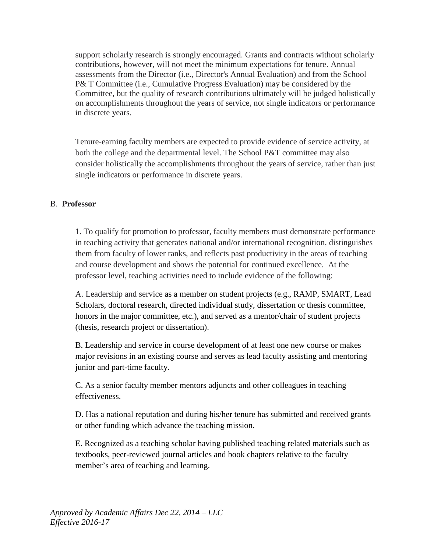support scholarly research is strongly encouraged. Grants and contracts without scholarly contributions, however, will not meet the minimum expectations for tenure. Annual assessments from the Director (i.e., Director's Annual Evaluation) and from the School P& T Committee (i.e., Cumulative Progress Evaluation) may be considered by the Committee, but the quality of research contributions ultimately will be judged holistically on accomplishments throughout the years of service, not single indicators or performance in discrete years.

Tenure-earning faculty members are expected to provide evidence of service activity, at both the college and the departmental level. The School P&T committee may also consider holistically the accomplishments throughout the years of service, rather than just single indicators or performance in discrete years.

### B. **Professor**

1. To qualify for promotion to professor, faculty members must demonstrate performance in teaching activity that generates national and/or international recognition, distinguishes them from faculty of lower ranks, and reflects past productivity in the areas of teaching and course development and shows the potential for continued excellence. At the professor level, teaching activities need to include evidence of the following:

A. Leadership and service as a member on student projects (e.g., RAMP, SMART, Lead Scholars, doctoral research, directed individual study, dissertation or thesis committee, honors in the major committee, etc.), and served as a mentor/chair of student projects (thesis, research project or dissertation).

B. Leadership and service in course development of at least one new course or makes major revisions in an existing course and serves as lead faculty assisting and mentoring junior and part-time faculty.

C. As a senior faculty member mentors adjuncts and other colleagues in teaching effectiveness.

D. Has a national reputation and during his/her tenure has submitted and received grants or other funding which advance the teaching mission.

E. Recognized as a teaching scholar having published teaching related materials such as textbooks, peer-reviewed journal articles and book chapters relative to the faculty member's area of teaching and learning.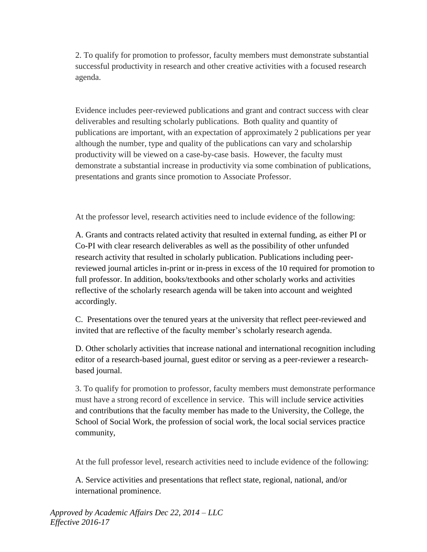2. To qualify for promotion to professor, faculty members must demonstrate substantial successful productivity in research and other creative activities with a focused research agenda.

Evidence includes peer-reviewed publications and grant and contract success with clear deliverables and resulting scholarly publications. Both quality and quantity of publications are important, with an expectation of approximately 2 publications per year although the number, type and quality of the publications can vary and scholarship productivity will be viewed on a case-by-case basis. However, the faculty must demonstrate a substantial increase in productivity via some combination of publications, presentations and grants since promotion to Associate Professor.

At the professor level, research activities need to include evidence of the following:

A. Grants and contracts related activity that resulted in external funding, as either PI or Co-PI with clear research deliverables as well as the possibility of other unfunded research activity that resulted in scholarly publication. Publications including peerreviewed journal articles in-print or in-press in excess of the 10 required for promotion to full professor. In addition, books/textbooks and other scholarly works and activities reflective of the scholarly research agenda will be taken into account and weighted accordingly.

C. Presentations over the tenured years at the university that reflect peer-reviewed and invited that are reflective of the faculty member's scholarly research agenda.

D. Other scholarly activities that increase national and international recognition including editor of a research-based journal, guest editor or serving as a peer-reviewer a researchbased journal.

3. To qualify for promotion to professor, faculty members must demonstrate performance must have a strong record of excellence in service. This will include service activities and contributions that the faculty member has made to the University, the College, the School of Social Work, the profession of social work, the local social services practice community,

At the full professor level, research activities need to include evidence of the following:

A. Service activities and presentations that reflect state, regional, national, and/or international prominence.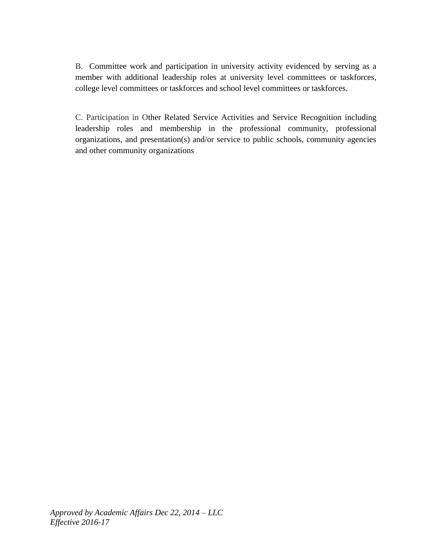B. Committee work and participation in university activity evidenced by serving as a member with additional leadership roles at university level committees or taskforces, college level committees or taskforces and school level committees or taskforces.

C. Participation in Other Related Service Activities and Service Recognition including leadership roles and membership in the professional community, professional organizations, and presentation(s) and/or service to public schools, community agencies and other community organizations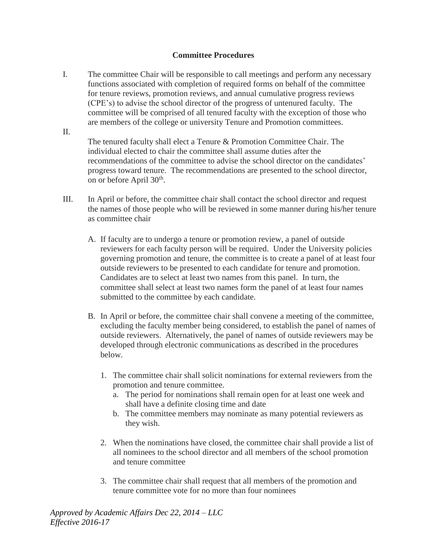### **Committee Procedures**

I. The committee Chair will be responsible to call meetings and perform any necessary functions associated with completion of required forms on behalf of the committee for tenure reviews, promotion reviews, and annual cumulative progress reviews (CPE's) to advise the school director of the progress of untenured faculty. The committee will be comprised of all tenured faculty with the exception of those who are members of the college or university Tenure and Promotion committees. II.

The tenured faculty shall elect a Tenure & Promotion Committee Chair. The individual elected to chair the committee shall assume duties after the recommendations of the committee to advise the school director on the candidates' progress toward tenure. The recommendations are presented to the school director, on or before April 30<sup>th</sup>.

- III. In April or before, the committee chair shall contact the school director and request the names of those people who will be reviewed in some manner during his/her tenure as committee chair
	- A. If faculty are to undergo a tenure or promotion review, a panel of outside reviewers for each faculty person will be required. Under the University policies governing promotion and tenure, the committee is to create a panel of at least four outside reviewers to be presented to each candidate for tenure and promotion. Candidates are to select at least two names from this panel. In turn, the committee shall select at least two names form the panel of at least four names submitted to the committee by each candidate.
	- B. In April or before, the committee chair shall convene a meeting of the committee, excluding the faculty member being considered, to establish the panel of names of outside reviewers. Alternatively, the panel of names of outside reviewers may be developed through electronic communications as described in the procedures below.
		- 1. The committee chair shall solicit nominations for external reviewers from the promotion and tenure committee.
			- a. The period for nominations shall remain open for at least one week and shall have a definite closing time and date
			- b. The committee members may nominate as many potential reviewers as they wish.
		- 2. When the nominations have closed, the committee chair shall provide a list of all nominees to the school director and all members of the school promotion and tenure committee
		- 3. The committee chair shall request that all members of the promotion and tenure committee vote for no more than four nominees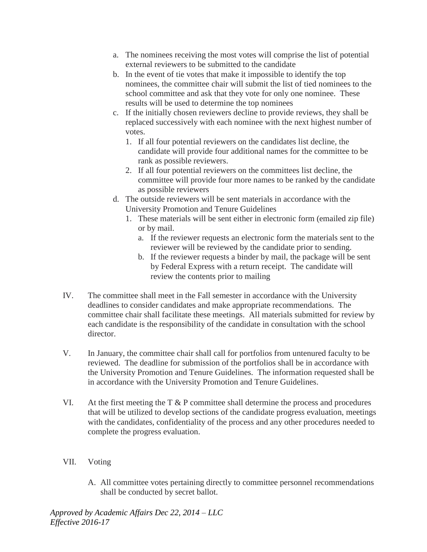- a. The nominees receiving the most votes will comprise the list of potential external reviewers to be submitted to the candidate
- b. In the event of tie votes that make it impossible to identify the top nominees, the committee chair will submit the list of tied nominees to the school committee and ask that they vote for only one nominee. These results will be used to determine the top nominees
- c. If the initially chosen reviewers decline to provide reviews, they shall be replaced successively with each nominee with the next highest number of votes.
	- 1. If all four potential reviewers on the candidates list decline, the candidate will provide four additional names for the committee to be rank as possible reviewers.
	- 2. If all four potential reviewers on the committees list decline, the committee will provide four more names to be ranked by the candidate as possible reviewers
- d. The outside reviewers will be sent materials in accordance with the University Promotion and Tenure Guidelines
	- 1. These materials will be sent either in electronic form (emailed zip file) or by mail.
		- a. If the reviewer requests an electronic form the materials sent to the reviewer will be reviewed by the candidate prior to sending.
		- b. If the reviewer requests a binder by mail, the package will be sent by Federal Express with a return receipt. The candidate will review the contents prior to mailing
- IV. The committee shall meet in the Fall semester in accordance with the University deadlines to consider candidates and make appropriate recommendations. The committee chair shall facilitate these meetings. All materials submitted for review by each candidate is the responsibility of the candidate in consultation with the school director.
- V. In January, the committee chair shall call for portfolios from untenured faculty to be reviewed. The deadline for submission of the portfolios shall be in accordance with the University Promotion and Tenure Guidelines. The information requested shall be in accordance with the University Promotion and Tenure Guidelines.
- VI. At the first meeting the  $T \& P$  committee shall determine the process and procedures that will be utilized to develop sections of the candidate progress evaluation, meetings with the candidates, confidentiality of the process and any other procedures needed to complete the progress evaluation.
- VII. Voting
	- A. All committee votes pertaining directly to committee personnel recommendations shall be conducted by secret ballot.